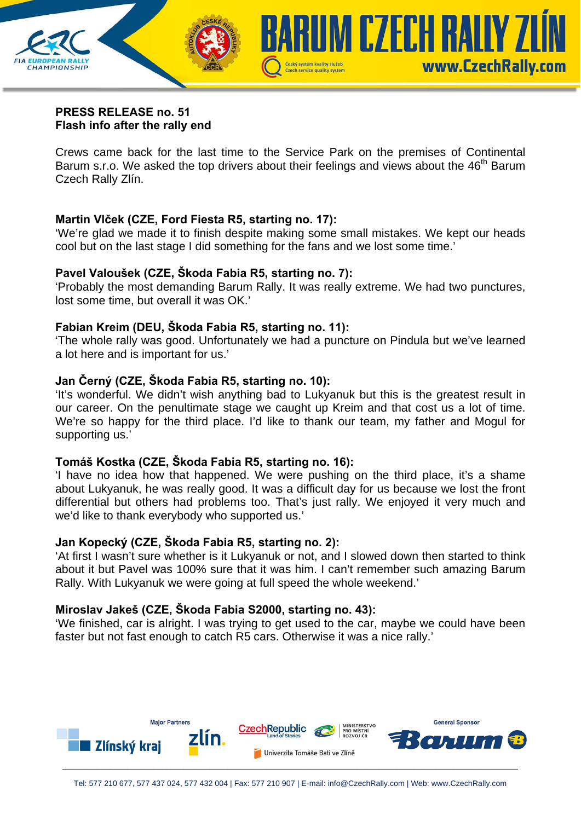

#### **PRESS RELEASE no. 51 Flash info after the rally end**

Crews came back for the last time to the Service Park on the premises of Continental Barum s.r.o. We asked the top drivers about their feelings and views about the 46<sup>th</sup> Barum Czech Rally Zlín.

## **Martin Vlček (CZE, Ford Fiesta R5, starting no. 17):**

'We're glad we made it to finish despite making some small mistakes. We kept our heads cool but on the last stage I did something for the fans and we lost some time.'

## **Pavel Valoušek (CZE, Škoda Fabia R5, starting no. 7):**

'Probably the most demanding Barum Rally. It was really extreme. We had two punctures, lost some time, but overall it was OK.'

## **Fabian Kreim (DEU, Škoda Fabia R5, starting no. 11):**

'The whole rally was good. Unfortunately we had a puncture on Pindula but we've learned a lot here and is important for us.'

## **Jan Černý (CZE, Škoda Fabia R5, starting no. 10):**

'It's wonderful. We didn't wish anything bad to Lukyanuk but this is the greatest result in our career. On the penultimate stage we caught up Kreim and that cost us a lot of time. We're so happy for the third place. I'd like to thank our team, my father and Mogul for supporting us.'

## **Tomáš Kostka (CZE, Škoda Fabia R5, starting no. 16):**

'I have no idea how that happened. We were pushing on the third place, it's a shame about Lukyanuk, he was really good. It was a difficult day for us because we lost the front differential but others had problems too. That's just rally. We enjoyed it very much and we'd like to thank everybody who supported us.'

## **Jan Kopecký (CZE, Škoda Fabia R5, starting no. 2):**

'At first I wasn't sure whether is it Lukyanuk or not, and I slowed down then started to think about it but Pavel was 100% sure that it was him. I can't remember such amazing Barum Rally. With Lukyanuk we were going at full speed the whole weekend.'

## **Miroslav Jakeš (CZE, Škoda Fabia S2000, starting no. 43):**

'We finished, car is alright. I was trying to get used to the car, maybe we could have been faster but not fast enough to catch R5 cars. Otherwise it was a nice rally.'